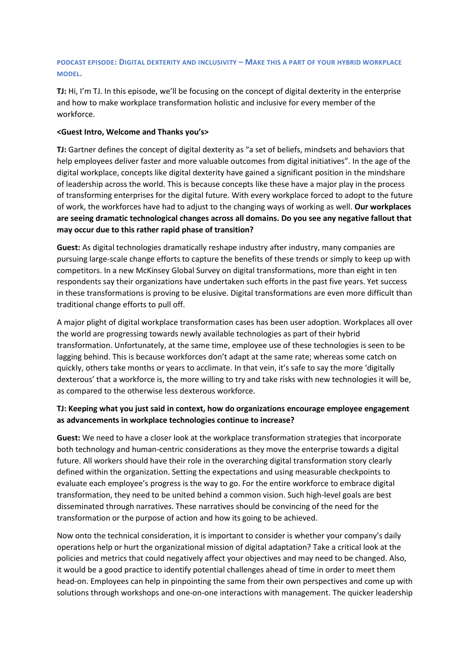### **PODCAST EPISODE: DIGITAL DEXTERITY AND INCLUSIVITY – MAKE THIS A PART OF YOUR HYBRID WORKPLACE MODEL.**

**TJ:** Hi, I'm TJ. In this episode, we'll be focusing on the concept of digital dexterity in the enterprise and how to make workplace transformation holistic and inclusive for every member of the workforce.

### **<Guest Intro, Welcome and Thanks you's>**

**TJ:** Gartner defines the concept of digital dexterity as "a set of beliefs, mindsets and behaviors that help employees deliver faster and more valuable outcomes from digital initiatives". In the age of the digital workplace, concepts like digital dexterity have gained a significant position in the mindshare of leadership across the world. This is because concepts like these have a major play in the process of transforming enterprises for the digital future. With every workplace forced to adopt to the future of work, the workforces have had to adjust to the changing ways of working as well. **Our workplaces are seeing dramatic technological changes across all domains. Do you see any negative fallout that may occur due to this rather rapid phase of transition?**

**Guest:** As digital technologies dramatically reshape industry after industry, many companies are pursuing large-scale change efforts to capture the benefits of these trends or simply to keep up with competitors. In a new McKinsey Global Survey on digital transformations, more than eight in ten respondents say their organizations have undertaken such efforts in the past five years. Yet success in these transformations is proving to be elusive. Digital transformations are even more difficult than traditional change efforts to pull off.

A major plight of digital workplace transformation cases has been user adoption. Workplaces all over the world are progressing towards newly available technologies as part of their hybrid transformation. Unfortunately, at the same time, employee use of these technologies is seen to be lagging behind. This is because workforces don't adapt at the same rate; whereas some catch on quickly, others take months or years to acclimate. In that vein, it's safe to say the more 'digitally dexterous' that a workforce is, the more willing to try and take risks with new technologies it will be, as compared to the otherwise less dexterous workforce.

# **TJ: Keeping what you just said in context, how do organizations encourage employee engagement as advancements in workplace technologies continue to increase?**

**Guest:** We need to have a closer look at the workplace transformation strategies that incorporate both technology and human-centric considerations as they move the enterprise towards a digital future. All workers should have their role in the overarching digital transformation story clearly defined within the organization. Setting the expectations and using measurable checkpoints to evaluate each employee's progress is the way to go. For the entire workforce to embrace digital transformation, they need to be united behind a common vision. Such high-level goals are best disseminated through narratives. These narratives should be convincing of the need for the transformation or the purpose of action and how its going to be achieved.

Now onto the technical consideration, it is important to consider is whether your company's daily operations help or hurt the organizational mission of digital adaptation? Take a critical look at the policies and metrics that could negatively affect your objectives and may need to be changed. Also, it would be a good practice to identify potential challenges ahead of time in order to meet them head-on. Employees can help in pinpointing the same from their own perspectives and come up with solutions through workshops and one-on-one interactions with management. The quicker leadership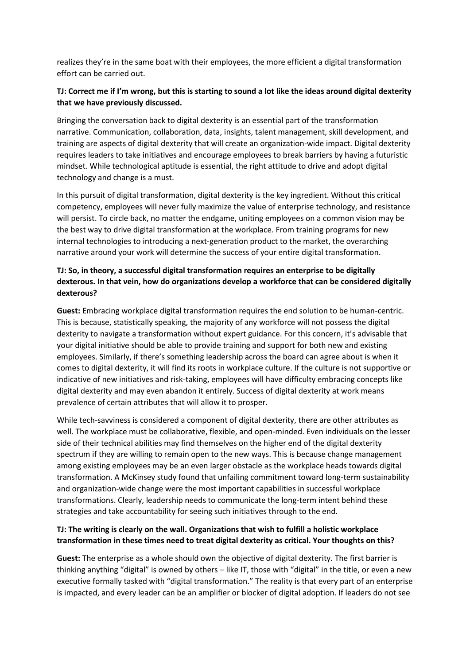realizes they're in the same boat with their employees, the more efficient a digital transformation effort can be carried out.

# **TJ: Correct me if I'm wrong, but this is starting to sound a lot like the ideas around digital dexterity that we have previously discussed.**

Bringing the conversation back to digital dexterity is an essential part of the transformation narrative. Communication, collaboration, data, insights, talent management, skill development, and training are aspects of digital dexterity that will create an organization-wide impact. Digital dexterity requires leaders to take initiatives and encourage employees to break barriers by having a futuristic mindset. While technological aptitude is essential, the right attitude to drive and adopt digital technology and change is a must.

In this pursuit of digital transformation, digital dexterity is the key ingredient. Without this critical competency, employees will never fully maximize the value of enterprise technology, and resistance will persist. To circle back, no matter the endgame, uniting employees on a common vision may be the best way to drive digital transformation at the workplace. From training programs for new internal technologies to introducing a next-generation product to the market, the overarching narrative around your work will determine the success of your entire digital transformation.

# **TJ: So, in theory, a successful digital transformation requires an enterprise to be digitally dexterous. In that vein, how do organizations develop a workforce that can be considered digitally dexterous?**

**Guest:** Embracing workplace digital transformation requires the end solution to be human-centric. This is because, statistically speaking, the majority of any workforce will not possess the digital dexterity to navigate a transformation without expert guidance. For this concern, it's advisable that your digital initiative should be able to provide training and support for both new and existing employees. Similarly, if there's something leadership across the board can agree about is when it comes to digital dexterity, it will find its roots in workplace culture. If the culture is not supportive or indicative of new initiatives and risk-taking, employees will have difficulty embracing concepts like digital dexterity and may even abandon it entirely. Success of digital dexterity at work means prevalence of certain attributes that will allow it to prosper.

While tech-savviness is considered a component of digital dexterity, there are other attributes as well. The workplace must be collaborative, flexible, and open-minded. Even individuals on the lesser side of their technical abilities may find themselves on the higher end of the digital dexterity spectrum if they are willing to remain open to the new ways. This is because change management among existing employees may be an even larger obstacle as the workplace heads towards digital transformation. A McKinsey study found that unfailing commitment toward long-term sustainability and organization-wide change were the most important capabilities in successful workplace transformations. Clearly, leadership needs to communicate the long-term intent behind these strategies and take accountability for seeing such initiatives through to the end.

# **TJ: The writing is clearly on the wall. Organizations that wish to fulfill a holistic workplace transformation in these times need to treat digital dexterity as critical. Your thoughts on this?**

**Guest:** The enterprise as a whole should own the objective of digital dexterity. The first barrier is thinking anything "digital" is owned by others – like IT, those with "digital" in the title, or even a new executive formally tasked with "digital transformation." The reality is that every part of an enterprise is impacted, and every leader can be an amplifier or blocker of digital adoption. If leaders do not see